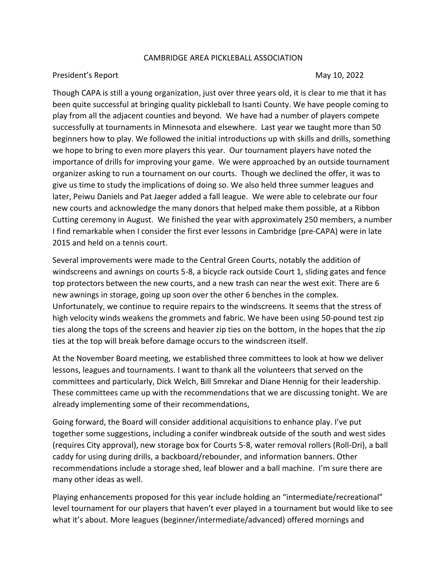## CAMBRIDGE AREA PICKLEBALL ASSOCIATION

## President's Report **May 10, 2022**

Though CAPA is still a young organization, just over three years old, it is clear to me that it has been quite successful at bringing quality pickleball to Isanti County. We have people coming to play from all the adjacent counties and beyond. We have had a number of players compete successfully at tournaments in Minnesota and elsewhere. Last year we taught more than 50 beginners how to play. We followed the initial introductions up with skills and drills, something we hope to bring to even more players this year. Our tournament players have noted the importance of drills for improving your game. We were approached by an outside tournament organizer asking to run a tournament on our courts. Though we declined the offer, it was to give us time to study the implications of doing so. We also held three summer leagues and later, Peiwu Daniels and Pat Jaeger added a fall league. We were able to celebrate our four new courts and acknowledge the many donors that helped make them possible, at a Ribbon Cutting ceremony in August. We finished the year with approximately 250 members, a number I find remarkable when I consider the first ever lessons in Cambridge (pre-CAPA) were in late 2015 and held on a tennis court.

Several improvements were made to the Central Green Courts, notably the addition of windscreens and awnings on courts 5-8, a bicycle rack outside Court 1, sliding gates and fence top protectors between the new courts, and a new trash can near the west exit. There are 6 new awnings in storage, going up soon over the other 6 benches in the complex. Unfortunately, we continue to require repairs to the windscreens. It seems that the stress of high velocity winds weakens the grommets and fabric. We have been using 50-pound test zip ties along the tops of the screens and heavier zip ties on the bottom, in the hopes that the zip ties at the top will break before damage occurs to the windscreen itself.

At the November Board meeting, we established three committees to look at how we deliver lessons, leagues and tournaments. I want to thank all the volunteers that served on the committees and particularly, Dick Welch, Bill Smrekar and Diane Hennig for their leadership. These committees came up with the recommendations that we are discussing tonight. We are already implementing some of their recommendations,

Going forward, the Board will consider additional acquisitions to enhance play. I've put together some suggestions, including a conifer windbreak outside of the south and west sides (requires City approval), new storage box for Courts 5-8, water removal rollers (Roll-Dri), a ball caddy for using during drills, a backboard/rebounder, and information banners. Other recommendations include a storage shed, leaf blower and a ball machine. I'm sure there are many other ideas as well.

Playing enhancements proposed for this year include holding an "intermediate/recreational" level tournament for our players that haven't ever played in a tournament but would like to see what it's about. More leagues (beginner/intermediate/advanced) offered mornings and